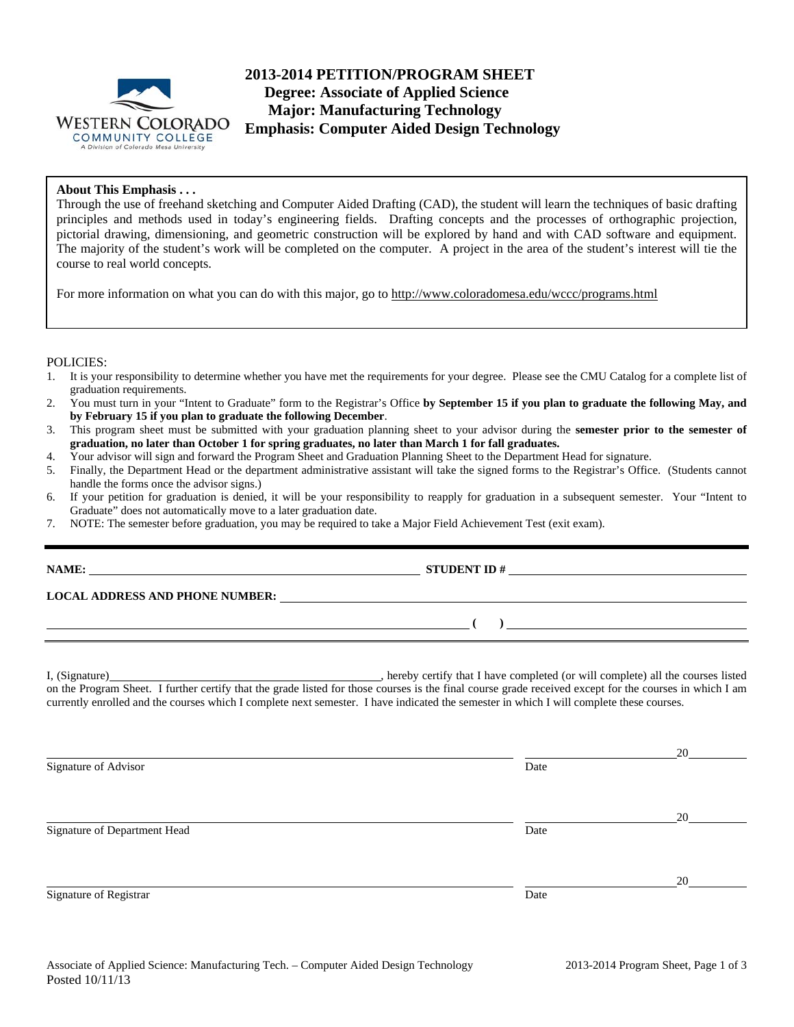

# **2013-2014 PETITION/PROGRAM SHEET Degree: Associate of Applied Science Major: Manufacturing Technology Emphasis: Computer Aided Design Technology**

## **About This Emphasis . . .**

Through the use of freehand sketching and Computer Aided Drafting (CAD), the student will learn the techniques of basic drafting principles and methods used in today's engineering fields. Drafting concepts and the processes of orthographic projection, pictorial drawing, dimensioning, and geometric construction will be explored by hand and with CAD software and equipment. The majority of the student's work will be completed on the computer. A project in the area of the student's interest will tie the course to real world concepts.

For more information on what you can do with this major, go to http://www.coloradomesa.edu/wccc/programs.html

### POLICIES:

- 1. It is your responsibility to determine whether you have met the requirements for your degree. Please see the CMU Catalog for a complete list of graduation requirements.
- 2. You must turn in your "Intent to Graduate" form to the Registrar's Office **by September 15 if you plan to graduate the following May, and by February 15 if you plan to graduate the following December**.
- 3. This program sheet must be submitted with your graduation planning sheet to your advisor during the **semester prior to the semester of graduation, no later than October 1 for spring graduates, no later than March 1 for fall graduates.**
- 4. Your advisor will sign and forward the Program Sheet and Graduation Planning Sheet to the Department Head for signature.
- 5. Finally, the Department Head or the department administrative assistant will take the signed forms to the Registrar's Office. (Students cannot handle the forms once the advisor signs.)
- 6. If your petition for graduation is denied, it will be your responsibility to reapply for graduation in a subsequent semester. Your "Intent to Graduate" does not automatically move to a later graduation date.
- 7. NOTE: The semester before graduation, you may be required to take a Major Field Achievement Test (exit exam).

|                              | $\overline{a}$ (b) and the contract of $\overline{a}$ (b) and the contract of $\overline{a}$ (b) and the contract of $\overline{a}$                                                                                                                                                                 |    |
|------------------------------|-----------------------------------------------------------------------------------------------------------------------------------------------------------------------------------------------------------------------------------------------------------------------------------------------------|----|
|                              | on the Program Sheet. I further certify that the grade listed for those courses is the final course grade received except for the courses in which I am<br>currently enrolled and the courses which I complete next semester. I have indicated the semester in which I will complete these courses. |    |
| Signature of Advisor         | Date                                                                                                                                                                                                                                                                                                | 20 |
| Signature of Department Head | Date                                                                                                                                                                                                                                                                                                | 20 |
|                              |                                                                                                                                                                                                                                                                                                     | 20 |
| Signature of Registrar       | Date                                                                                                                                                                                                                                                                                                |    |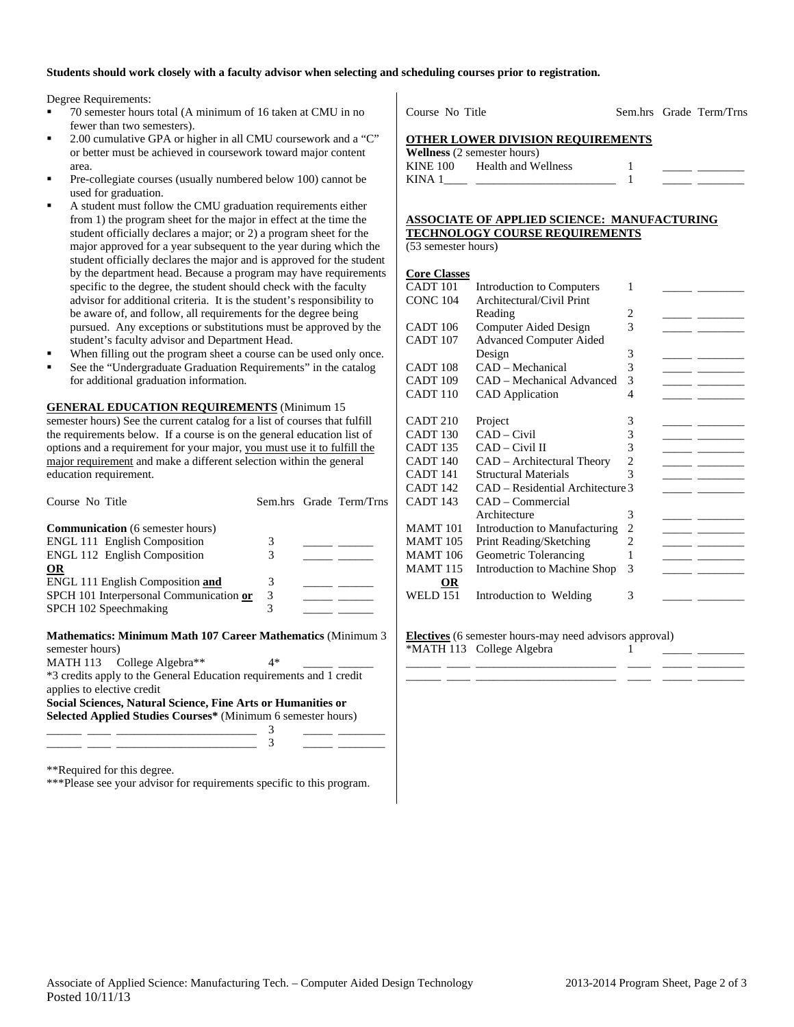### **Students should work closely with a faculty advisor when selecting and scheduling courses prior to registration.**

Degree Requirements:

- 70 semester hours total (A minimum of 16 taken at CMU in no fewer than two semesters).
- 2.00 cumulative GPA or higher in all CMU coursework and a "C" or better must be achieved in coursework toward major content area.
- Pre-collegiate courses (usually numbered below 100) cannot be used for graduation.
- A student must follow the CMU graduation requirements either from 1) the program sheet for the major in effect at the time the student officially declares a major; or 2) a program sheet for the major approved for a year subsequent to the year during which the student officially declares the major and is approved for the student by the department head. Because a program may have requirements specific to the degree, the student should check with the faculty advisor for additional criteria. It is the student's responsibility to be aware of, and follow, all requirements for the degree being pursued. Any exceptions or substitutions must be approved by the student's faculty advisor and Department Head.
- When filling out the program sheet a course can be used only once.
- See the "Undergraduate Graduation Requirements" in the catalog for additional graduation information.

**GENERAL EDUCATION REQUIREMENTS** (Minimum 15 semester hours) See the current catalog for a list of courses that fulfill the requirements below. If a course is on the general education list of options and a requirement for your major, you must use it to fulfill the major requirement and make a different selection within the general education requirement.

| Course No Title                                                                                   |    | Sem.hrs Grade Term/Trns |
|---------------------------------------------------------------------------------------------------|----|-------------------------|
| <b>Communication</b> (6 semester hours)                                                           |    |                         |
| <b>ENGL 111 English Composition</b>                                                               | 3  |                         |
| <b>ENGL 112 English Composition</b>                                                               | 3  |                         |
| <b>OR</b>                                                                                         |    |                         |
| <b>ENGL 111 English Composition and</b>                                                           | 3  |                         |
| SPCH 101 Interpersonal Communication or                                                           | 3  |                         |
| SPCH 102 Speechmaking                                                                             | 3  |                         |
| Mathematics: Minimum Math 107 Career Mathematics (Minimum 3<br>semester hours)                    |    |                         |
| MATH 113 College Algebra**                                                                        | 4* |                         |
| *3 credits apply to the General Education requirements and 1 credit<br>applies to elective credit |    |                         |
| Social Sciences, Natural Science, Fine Arts or Humanities or                                      |    |                         |
| Selected Applied Studies Courses* (Minimum 6 semester hours)                                      |    |                         |
|                                                                                                   |    |                         |
|                                                                                                   |    |                         |

\*\*Required for this degree.

\*\*\*Please see your advisor for requirements specific to this program.

Course No Title Sem.hrs Grade Term/Trns

#### **OTHER LOWER DIVISION REQUIREMENTS**

|          | <b>Wellness</b> (2 semester hours) |  |  |
|----------|------------------------------------|--|--|
| KINE 100 | Health and Wellness                |  |  |
| KINA 1   |                                    |  |  |

## **ASSOCIATE OF APPLIED SCIENCE: MANUFACTURING TECHNOLOGY COURSE REQUIREMENTS**

(53 semester hours)

#### **Core Classes**

**Electives** (6 semester hours-may need advisors approval) \*MATH 113 College Algebra 1

\_\_\_\_\_\_ \_\_\_\_ \_\_\_\_\_\_\_\_\_\_\_\_\_\_\_\_\_\_\_\_\_\_\_\_ \_\_\_\_ \_\_\_\_\_ \_\_\_\_\_\_\_\_ \_\_\_\_\_\_ \_\_\_\_ \_\_\_\_\_\_\_\_\_\_\_\_\_\_\_\_\_\_\_\_\_\_\_\_ \_\_\_\_ \_\_\_\_\_ \_\_\_\_\_\_\_\_